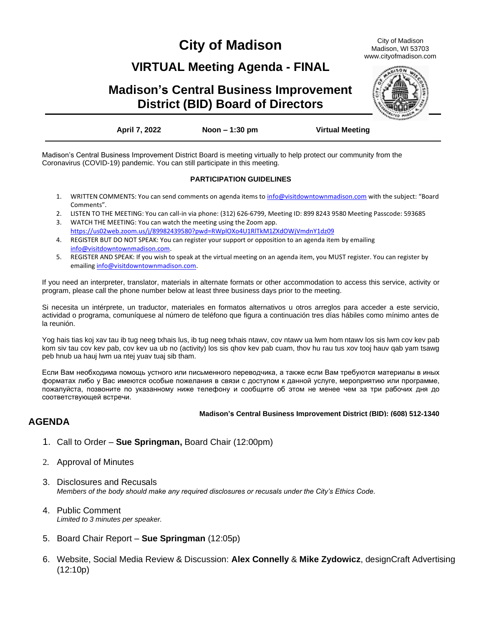# **City of Madison**

City of Madison Madison, WI 53703 www.cityofmadison.com

## **VIRTUAL Meeting Agenda - FINAL**

## **Madison's Central Business Improvement District (BID) Board of Directors**



**April 7, 2022 Noon – 1:30 pm Virtual Meeting**

Madison's Central Business Improvement District Board is meeting virtually to help protect our community from the Coronavirus (COVID-19) pandemic. You can still participate in this meeting.

### **PARTICIPATION GUIDELINES**

- 1. WRITTEN COMMENTS: You can send comments on agenda items to [info@visitdowntownmadison.com](mailto:info@visitdowntownmadison.com) with the subject: "Board Comments".
- 2. LISTEN TO THE MEETING: You can call-in via phone: (312) 626-6799, Meeting ID: 899 8243 9580 Meeting Passcode: 593685
- 3. WATCH THE MEETING: You can watch the meeting using the Zoom app. <https://us02web.zoom.us/j/89982439580?pwd=RWplOXo4U1RlTkM1ZXdOWjVmdnY1dz09>
- 4. REGISTER BUT DO NOT SPEAK: You can register your support or opposition to an agenda item by emailing [info@visitdowntownmadison.com.](mailto:info@visitdowntownmadison.com)
- 5. REGISTER AND SPEAK: If you wish to speak at the virtual meeting on an agenda item, you MUST register. You can register by emailin[g info@visitdowntownmadison.com.](mailto:info@visitdowntownmadison.com)

If you need an interpreter, translator, materials in alternate formats or other accommodation to access this service, activity or program, please call the phone number below at least three business days prior to the meeting.

Si necesita un intérprete, un traductor, materiales en formatos alternativos u otros arreglos para acceder a este servicio, actividad o programa, comuníquese al número de teléfono que figura a continuación tres días hábiles como mínimo antes de la reunión.

Yog hais tias koj xav tau ib tug neeg txhais lus, ib tug neeg txhais ntawv, cov ntawv ua lwm hom ntawv los sis lwm cov kev pab kom siv tau cov kev pab, cov kev ua ub no (activity) los sis qhov kev pab cuam, thov hu rau tus xov tooj hauv qab yam tsawg peb hnub ua hauj lwm ua ntej yuav tuaj sib tham.

Если Вам необходима помощь устного или письменного переводчика, а также если Вам требуются материалы в иных форматах либо у Вас имеются особые пожелания в связи с доступом к данной услуге, мероприятию или программе, пожалуйста, позвоните по указанному ниже телефону и сообщите об этом не менее чем за три рабочих дня до соответствующей встречи.

#### **Madison's Central Business Improvement District (BID): (608) 512-1340**

## **AGENDA**

- 1. Call to Order **Sue Springman,** Board Chair (12:00pm)
- 2. Approval of Minutes
- 3. Disclosures and Recusals *Members of the body should make any required disclosures or recusals under the City's Ethics Code.*
- 4. Public Comment *Limited to 3 minutes per speaker.*
- 5. Board Chair Report **Sue Springman** (12:05p)
- 6. Website, Social Media Review & Discussion: **Alex Connelly** & **Mike Zydowicz**, designCraft Advertising (12:10p)